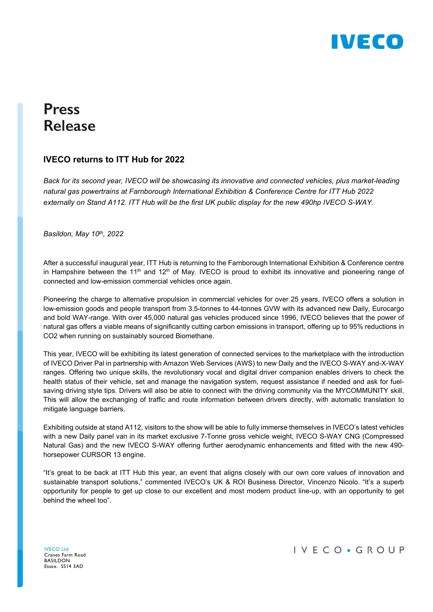

# **Press Release**

### **IVECO returns to ITT Hub for 2022**

*Back for its second year, IVECO will be showcasing its innovative and connected vehicles, plus market-leading natural gas powertrains at Farnborough International Exhibition & Conference Centre for ITT Hub 2022 externally on Stand A112. ITT Hub will be the first UK public display for the new 490hp IVECO S-WAY.*

*Basildon, May 10th, 2022*

After a successful inaugural year, ITT Hub is returning to the Farnborough International Exhibition & Conference centre in Hampshire between the 11<sup>th</sup> and 12<sup>th</sup> of May. IVECO is proud to exhibit its innovative and pioneering range of connected and low-emission commercial vehicles once again.

Pioneering the charge to alternative propulsion in commercial vehicles for over 25 years, IVECO offers a solution in low-emission goods and people transport from 3.5-tonnes to 44-tonnes GVW with its advanced new Daily, Eurocargo and bold WAY-range. With over 45,000 natural gas vehicles produced since 1996, IVECO believes that the power of natural gas offers a viable means of significantly cutting carbon emissions in transport, offering up to 95% reductions in CO2 when running on sustainably sourced Biomethane.

This year, IVECO will be exhibiting its latest generation of connected services to the marketplace with the introduction of IVECO Driver Pal in partnership with Amazon Web Services (AWS) to new Daily and the IVECO S-WAY and-X-WAY ranges. Offering two unique skills, the revolutionary vocal and digital driver companion enables drivers to check the health status of their vehicle, set and manage the navigation system, request assistance if needed and ask for fuelsaving driving style tips. Drivers will also be able to connect with the driving community via the MYCOMMUNITY skill. This will allow the exchanging of traffic and route information between drivers directly, with automatic translation to mitigate language barriers.

Exhibiting outside at stand A112, visitors to the show will be able to fully immerse themselves in IVECO's latest vehicles with a new Daily panel van in its market exclusive 7-Tonne gross vehicle weight, IVECO S-WAY CNG (Compressed Natural Gas) and the new IVECO S-WAY offering further aerodynamic enhancements and fitted with the new 490 horsepower CURSOR 13 engine.

"It's great to be back at ITT Hub this year, an event that aligns closely with our own core values of innovation and sustainable transport solutions," commented IVECO's UK & ROI Business Director, Vincenzo Nicolo. "It's a superb opportunity for people to get up close to our excellent and most modern product line-up, with an opportunity to get behind the wheel too".

IVECO Ltd Cranes Farm Road BASILDON Essex. SS14 3AD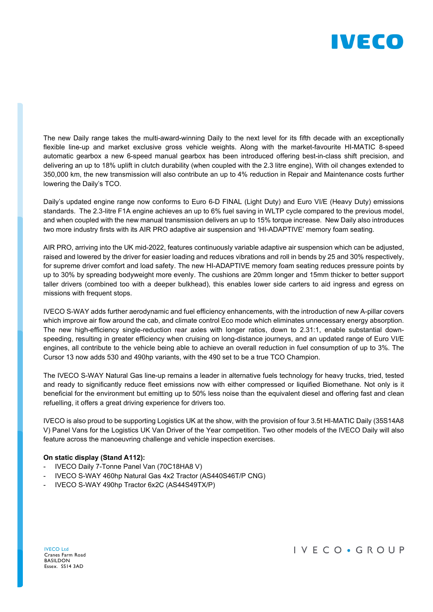

The new Daily range takes the multi-award-winning Daily to the next level for its fifth decade with an exceptionally flexible line-up and market exclusive gross vehicle weights. Along with the market-favourite HI-MATIC 8-speed automatic gearbox a new 6-speed manual gearbox has been introduced offering best-in-class shift precision, and delivering an up to 18% uplift in clutch durability (when coupled with the 2.3 litre engine), With oil changes extended to 350,000 km, the new transmission will also contribute an up to 4% reduction in Repair and Maintenance costs further lowering the Daily's TCO.

Daily's updated engine range now conforms to Euro 6-D FINAL (Light Duty) and Euro VI/E (Heavy Duty) emissions standards. The 2.3-litre F1A engine achieves an up to 6% fuel saving in WLTP cycle compared to the previous model, and when coupled with the new manual transmission delivers an up to 15% torque increase. New Daily also introduces two more industry firsts with its AIR PRO adaptive air suspension and 'HI-ADAPTIVE' memory foam seating.

AIR PRO, arriving into the UK mid-2022, features continuously variable adaptive air suspension which can be adjusted, raised and lowered by the driver for easier loading and reduces vibrations and roll in bends by 25 and 30% respectively, for supreme driver comfort and load safety. The new HI-ADAPTIVE memory foam seating reduces pressure points by up to 30% by spreading bodyweight more evenly. The cushions are 20mm longer and 15mm thicker to better support taller drivers (combined too with a deeper bulkhead), this enables lower side carters to aid ingress and egress on missions with frequent stops.

IVECO S-WAY adds further aerodynamic and fuel efficiency enhancements, with the introduction of new A-pillar covers which improve air flow around the cab, and climate control Eco mode which eliminates unnecessary energy absorption. The new high-efficiency single-reduction rear axles with longer ratios, down to 2.31:1, enable substantial downspeeding, resulting in greater efficiency when cruising on long-distance journeys, and an updated range of Euro VI/E engines, all contribute to the vehicle being able to achieve an overall reduction in fuel consumption of up to 3%. The Cursor 13 now adds 530 and 490hp variants, with the 490 set to be a true TCO Champion.

The IVECO S-WAY Natural Gas line-up remains a leader in alternative fuels technology for heavy trucks, tried, tested and ready to significantly reduce fleet emissions now with either compressed or liquified Biomethane. Not only is it beneficial for the environment but emitting up to 50% less noise than the equivalent diesel and offering fast and clean refuelling, it offers a great driving experience for drivers too.

IVECO is also proud to be supporting Logistics UK at the show, with the provision of four 3.5t HI-MATIC Daily (35S14A8 V) Panel Vans for the Logistics UK Van Driver of the Year competition. Two other models of the IVECO Daily will also feature across the manoeuvring challenge and vehicle inspection exercises.

#### **On static display (Stand A112):**

- IVECO Daily 7-Tonne Panel Van (70C18HA8 V)
- IVECO S-WAY 460hp Natural Gas 4x2 Tractor (AS440S46T/P CNG)
- IVECO S-WAY 490hp Tractor 6x2C (AS44S49TX/P)

IVECO Ltd Cranes Farm Road BASILDON Essex. SS14 3AD

## IVECO · GROUP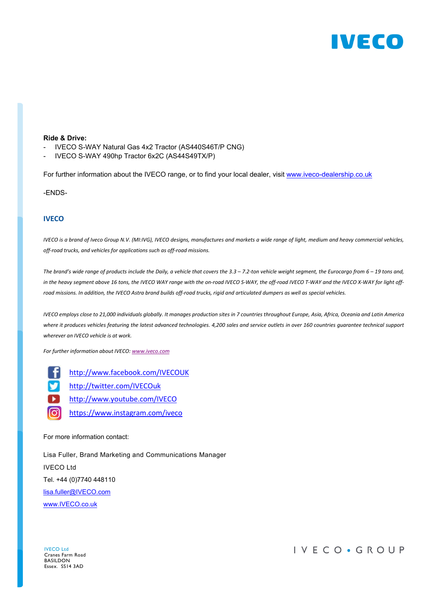

#### **Ride & Drive:**

- IVECO S-WAY Natural Gas 4x2 Tractor (AS440S46T/P CNG)
- IVECO S-WAY 490hp Tractor 6x2C (AS44S49TX/P)

For further information about the IVECO range, or to find your local dealer, visit [www.iveco-dealership.co.uk](http://www.iveco-dealership.co.uk/)

-ENDS-

#### **IVECO**

*IVECO is a brand of Iveco Group N.V. (MI:IVG), IVECO designs, manufactures and markets a wide range of light, medium and heavy commercial vehicles, off-road trucks, and vehicles for applications such as off-road missions.*

*The brand's wide range of products include the Daily, a vehicle that covers the 3.3 – 7.2-ton vehicle weight segment, the Eurocargo from 6 – 19 tons and, in the heavy segment above 16 tons, the IVECO WAY range with the on-road IVECO S-WAY, the off-road IVECO T-WAY and the IVECO X-WAY for light offroad missions. In addition, the IVECO Astra brand builds off-road trucks, rigid and articulated dumpers as well as special vehicles.*

*IVECO employs close to 21,000 individuals globally. It manages production sites in 7 countries throughout Europe, Asia, Africa, Oceania and Latin America where it produces vehicles featuring the latest advanced technologies. 4,200 sales and service outlets in over 160 countries guarantee technical support wherever an IVECO vehicle is at work.*

*For further information about IVECO: [www.iveco.com](http://www.iveco.com/)*

f. [http://www.facebook.com/IVECOUK](http://www.facebook.com/IvecoUK)

V) [http://twitter.com/IVECOuk](http://twitter.com/ivecouk)

Ы [http://www.youtube.com/IVECO](http://www.youtube.com/iveco)

രി <https://www.instagram.com/iveco>

For more information contact:

Lisa Fuller, Brand Marketing and Communications Manager IVECO Ltd Tel. +44 (0)7740 448110 [lisa.fuller@IVECO.com](mailto:lisa.fuller@iveco.com) [www.IVECO.co.uk](http://www.iveco.co.uk/)

IVECO Ltd Cranes Farm Road BASILDON Essex. SS14 3AD

IVECO · GROUP